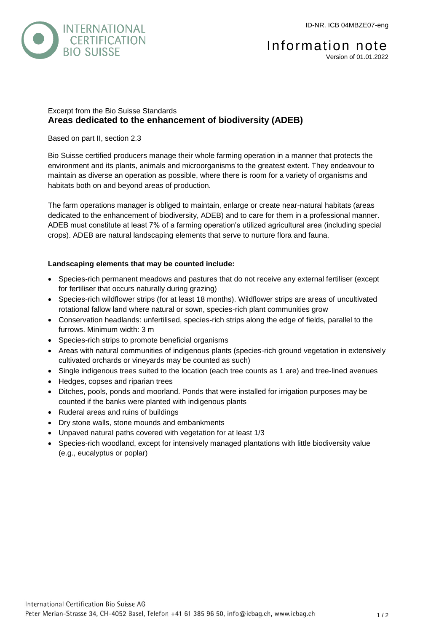

# Excerpt from the Bio Suisse Standards **Areas dedicated to the enhancement of biodiversity (ADEB)**

## Based on part II, section 2.3

Bio Suisse certified producers manage their whole farming operation in a manner that protects the environment and its plants, animals and microorganisms to the greatest extent. They endeavour to maintain as diverse an operation as possible, where there is room for a variety of organisms and habitats both on and beyond areas of production.

The farm operations manager is obliged to maintain, enlarge or create near-natural habitats (areas dedicated to the enhancement of biodiversity, ADEB) and to care for them in a professional manner. ADEB must constitute at least 7% of a farming operation's utilized agricultural area (including special crops). ADEB are natural landscaping elements that serve to nurture flora and fauna.

## **Landscaping elements that may be counted include:**

- Species-rich permanent meadows and pastures that do not receive any external fertiliser (except for fertiliser that occurs naturally during grazing)
- Species-rich wildflower strips (for at least 18 months). Wildflower strips are areas of uncultivated rotational fallow land where natural or sown, species-rich plant communities grow
- Conservation headlands: unfertilised, species-rich strips along the edge of fields, parallel to the furrows. Minimum width: 3 m
- Species-rich strips to promote beneficial organisms
- Areas with natural communities of indigenous plants (species-rich ground vegetation in extensively cultivated orchards or vineyards may be counted as such)
- Single indigenous trees suited to the location (each tree counts as 1 are) and tree-lined avenues
- Hedges, copses and riparian trees
- Ditches, pools, ponds and moorland. Ponds that were installed for irrigation purposes may be counted if the banks were planted with indigenous plants
- Ruderal areas and ruins of buildings
- Dry stone walls, stone mounds and embankments
- Unpaved natural paths covered with vegetation for at least 1/3
- Species-rich woodland, except for intensively managed plantations with little biodiversity value (e.g., eucalyptus or poplar)